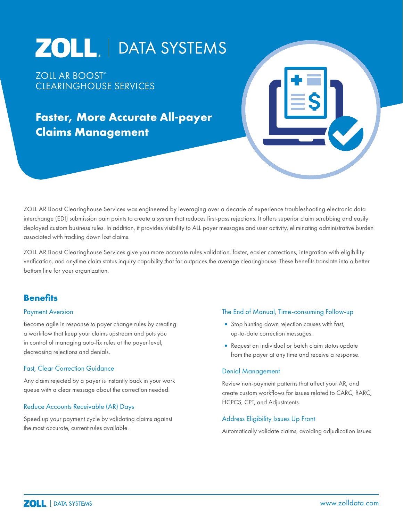# ZOLL | DATA SYSTEMS

ZOLL AR BOOST® CLEARINGHOUSE SERVICES

# **Faster, More Accurate All-payer Claims Management**

ZOLL AR Boost Clearinghouse Services was engineered by leveraging over a decade of experience troubleshooting electronic data interchange (EDI) submission pain points to create a system that reduces first-pass rejections. It offers superior claim scrubbing and easily deployed custom business rules. In addition, it provides visibility to ALL payer messages and user activity, eliminating administrative burden associated with tracking down lost claims.

ZOLL AR Boost Clearinghouse Services give you more accurate rules validation, faster, easier corrections, integration with eligibility verification, and anytime claim status inquiry capability that far outpaces the average clearinghouse. These benefits translate into a better bottom line for your organization.

## **Benefits**

#### Payment Aversion

Become agile in response to payer change rules by creating a workflow that keep your claims upstream and puts you in control of managing auto-fix rules at the payer level, decreasing rejections and denials.

#### Fast, Clear Correction Guidance

Any claim rejected by a payer is instantly back in your work queue with a clear message about the correction needed.

#### Reduce Accounts Receivable (AR) Days

Speed up your payment cycle by validating claims against the most accurate, current rules available.

#### The End of Manual, Time-consuming Follow-up

- Stop hunting down rejection causes with fast, up-to-date correction messages.
- •Request an individual or batch claim status update from the payer at any time and receive a response.

#### Denial Management

Review non-payment patterns that affect your AR, and create custom workflows for issues related to CARC, RARC, HCPCS, CPT, and Adjustments.

#### Address Eligibility Issues Up Front

Automatically validate claims, avoiding adjudication issues.